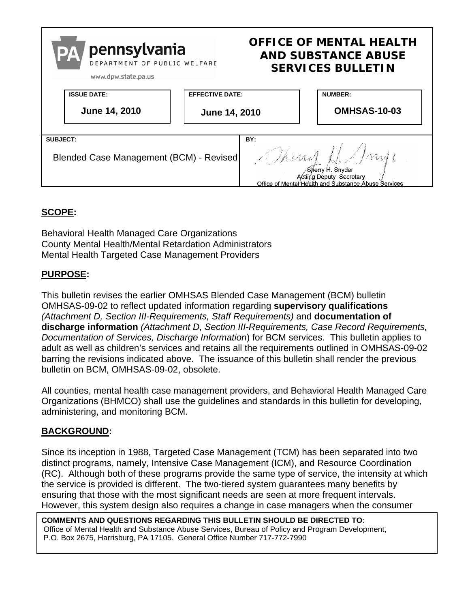

## **SCOPE:**

Behavioral Health Managed Care Organizations County Mental Health/Mental Retardation Administrators Mental Health Targeted Case Management Providers

## **PURPOSE:**

This bulletin revises the earlier OMHSAS Blended Case Management (BCM) bulletin OMHSAS-09-02 to reflect updated information regarding **supervisory qualifications**  *(Attachment D, Section III-Requirements, Staff Requirements)* and **documentation of discharge information** *(Attachment D, Section III-Requirements, Case Record Requirements, Documentation of Services, Discharge Information*) for BCM services. This bulletin applies to adult as well as children's services and retains all the requirements outlined in OMHSAS-09-02 barring the revisions indicated above. The issuance of this bulletin shall render the previous bulletin on BCM, OMHSAS-09-02, obsolete.

All counties, mental health case management providers, and Behavioral Health Managed Care Organizations (BHMCO) shall use the guidelines and standards in this bulletin for developing, administering, and monitoring BCM.

## **BACKGROUND:**

Since its inception in 1988, Targeted Case Management (TCM) has been separated into two distinct programs, namely, Intensive Case Management (ICM), and Resource Coordination (RC). Although both of these programs provide the same type of service, the intensity at which the service is provided is different. The two-tiered system guarantees many benefits by ensuring that those with the most significant needs are seen at more frequent intervals. However, this system design also requires a change in case managers when the consumer

**COMMENTS AND QUESTIONS REGARDING THIS BULLETIN SHOULD BE DIRECTED TO**: Office of Mental Health and Substance Abuse Services, Bureau of Policy and Program Development, P.O. Box 2675, Harrisburg, PA 17105. General Office Number 717-772-7990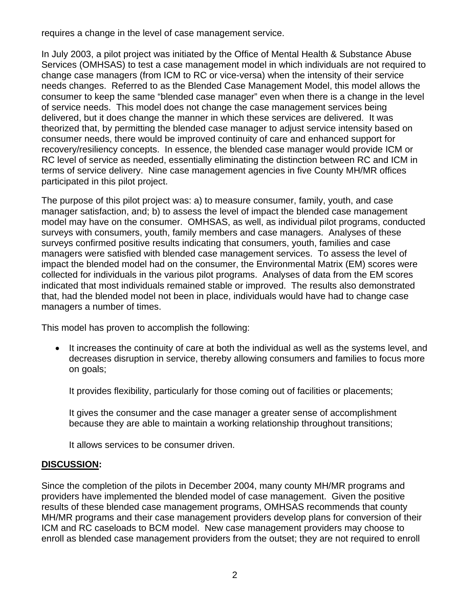requires a change in the level of case management service.

In July 2003, a pilot project was initiated by the Office of Mental Health & Substance Abuse Services (OMHSAS) to test a case management model in which individuals are not required to change case managers (from ICM to RC or vice-versa) when the intensity of their service needs changes. Referred to as the Blended Case Management Model, this model allows the consumer to keep the same "blended case manager" even when there is a change in the level of service needs. This model does not change the case management services being delivered, but it does change the manner in which these services are delivered. It was theorized that, by permitting the blended case manager to adjust service intensity based on consumer needs, there would be improved continuity of care and enhanced support for recovery/resiliency concepts. In essence, the blended case manager would provide ICM or RC level of service as needed, essentially eliminating the distinction between RC and ICM in terms of service delivery. Nine case management agencies in five County MH/MR offices participated in this pilot project.

The purpose of this pilot project was: a) to measure consumer, family, youth, and case manager satisfaction, and; b) to assess the level of impact the blended case management model may have on the consumer. OMHSAS, as well, as individual pilot programs, conducted surveys with consumers, youth, family members and case managers. Analyses of these surveys confirmed positive results indicating that consumers, youth, families and case managers were satisfied with blended case management services. To assess the level of impact the blended model had on the consumer, the Environmental Matrix (EM) scores were collected for individuals in the various pilot programs. Analyses of data from the EM scores indicated that most individuals remained stable or improved. The results also demonstrated that, had the blended model not been in place, individuals would have had to change case managers a number of times.

This model has proven to accomplish the following:

• It increases the continuity of care at both the individual as well as the systems level, and decreases disruption in service, thereby allowing consumers and families to focus more on goals;

It provides flexibility, particularly for those coming out of facilities or placements;

It gives the consumer and the case manager a greater sense of accomplishment because they are able to maintain a working relationship throughout transitions;

It allows services to be consumer driven.

## **DISCUSSION:**

Since the completion of the pilots in December 2004, many county MH/MR programs and providers have implemented the blended model of case management. Given the positive results of these blended case management programs, OMHSAS recommends that county MH/MR programs and their case management providers develop plans for conversion of their ICM and RC caseloads to BCM model. New case management providers may choose to enroll as blended case management providers from the outset; they are not required to enroll